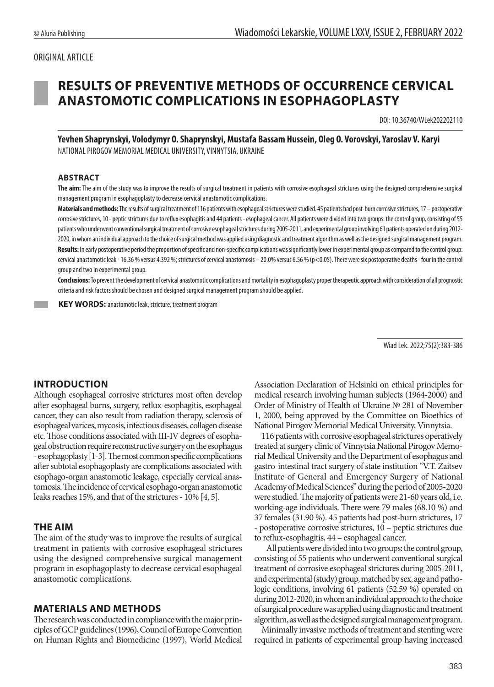#### ORIGINAL ARTICLE

# **RESULTS OF PREVENTIVE METHODS OF OCCURRENCE CERVICAL ANASTOMOTIC COMPLICATIONS IN ESOPHAGOPLASTY**

DOI: 10.36740/WLek202202110

**Yevhen Shaprynskyi, Volodymyr O. Shaprynskyi, Mustafa Bassam Hussein, Oleg O. Vorovskyi, Yaroslav V. Karyi** NATIONAL PIROGOV MEMORIAL MEDICAL UNIVERSITY, VINNYTSIA, UKRAINE

#### **ABSTRACT**

**The aim:** The aim of the study was to improve the results of surgical treatment in patients with corrosive esophageal strictures using the designed comprehensive surgical management program in esophagoplasty to decrease cervical anastomotic complications.

Materials and methods: The results of surgical treatment of 116 patients with esophageal strictures were studied. 45 patients had post-burn corrosive strictures, 17 - postoperative corrosive strictures, 10 - peptic strictures due to reflux esophagitis and 44 patients - esophageal cancer. All patients were divided into two groups: the control group, consisting of 55 patients who underwent conventional surgical treatment of corrosive esophageal strictures during 2005-2011, and experimental groupinvolving 61 patients operated on during 2012- 2020, in whom an individual approach to the choice of surgical method was applied using diagnostic and treatment algorithm as well as the designed surgical management program. **Results:** In early postoperative period the proportion of specific and non-specific complications was significantly lower in experimental group as compared to the control group: cervical anastomotic leak - 16.36 % versus 4.392 %; strictures of cervical anastomosis – 20.0% versus 6.56 %(p<0.05).There were six postoperative deaths - four in the control group and two in experimental group.

**Conclusions:** To prevent the development of cervical anastomotic complications and mortality in esophagoplasty proper therapeuticapproach with consideration of all prognostic criteria and risk factors should be chosen and designed surgical management program should be applied.

 **KEY WORDS:** anastomotic leak, stricture, treatment program

Wiad Lek. 2022;75(2):383-386

## **INTRODUCTION**

Although esophageal corrosive strictures most often develop after esophageal burns, surgery, reflux-esophagitis, esophageal cancer, they can also result from radiation therapy, sclerosis of esophageal varices, mycosis, infectious diseases, collagen disease etc. Those conditions associated with III-IV degrees of esophageal obstruction require reconstructive surgery on the esophagus - esophagoplasty [1-3]. The most common specific complications after subtotal esophagoplasty are complications associated with esophago-organ anastomotic leakage, especially cervical anastomosis. The incidence of cervical esophago-organ anastomotic leaks reaches 15%, and that of the strictures - 10% [4, 5].

#### **THE AIM**

The aim of the study was to improve the results of surgical treatment in patients with corrosive esophageal strictures using the designed comprehensive surgical management program in esophagoplasty to decrease cervical esophageal anastomotic complications.

#### **MATERIALS AND METHODS**

The research was conducted in compliance with the major principles of GCP guidelines (1996), Council of Europe Convention on Human Rights and Biomedicine (1997), World Medical Association Declaration of Helsinki on ethical principles for medical research involving human subjects (1964-2000) and Order of Ministry of Health of Ukraine № 281 of November 1, 2000, being approved by the Committee on Bioethics of National Pirogov Memorial Medical University, Vinnytsia.

116 patients with corrosive esophageal strictures operatively treated at surgery clinic of Vinnytsia National Pirogov Memorial Medical University and the Department of esophagus and gastro-intestinal tract surgery of state institution "V.T. Zaitsev Institute of General and Emergency Surgery of National Academy of Medical Sciences" during the period of 2005-2020 were studied. The majority of patients were 21-60 years old, i.e. working-age individuals. There were 79 males (68.10 %) and 37 females (31.90 %). 45 patients had post-burn strictures, 17 - postoperative corrosive strictures, 10 – peptic strictures due to reflux-esophagitis, 44 – esophageal cancer.

All patients were divided into two groups: the control group, consisting of 55 patients who underwent conventional surgical treatment of corrosive esophageal strictures during 2005-2011, and experimental (study) group, matched by sex, age and pathologic conditions, involving 61 patients (52.59 %) operated on during 2012-2020, in whom an individual approach to the choice of surgical procedure was applied using diagnostic and treatment algorithm, as well as the designed surgical management program.

Minimally invasive methods of treatment and stenting were required in patients of experimental group having increased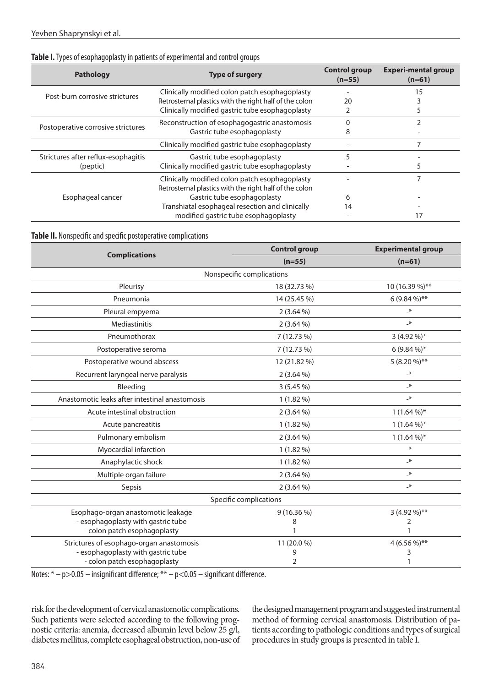#### Table I. Types of esophagoplasty in patients of experimental and control groups

| <b>Pathology</b>                    | <b>Type of surgery</b>                                 | <b>Control group</b><br>$(n=55)$ | <b>Experi-mental group</b><br>$(n=61)$ |
|-------------------------------------|--------------------------------------------------------|----------------------------------|----------------------------------------|
| Post-burn corrosive strictures      | Clinically modified colon patch esophagoplasty         |                                  | 15                                     |
|                                     | Retrosternal plastics with the right half of the colon | 20                               |                                        |
|                                     | Clinically modified gastric tube esophagoplasty        |                                  |                                        |
| Postoperative corrosive strictures  | Reconstruction of esophagogastric anastomosis          |                                  |                                        |
|                                     | Gastric tube esophagoplasty                            | õ                                |                                        |
|                                     | Clinically modified gastric tube esophagoplasty        |                                  |                                        |
| Strictures after reflux-esophagitis | Gastric tube esophagoplasty                            | ר                                |                                        |
| (peptic)                            | Clinically modified gastric tube esophagoplasty        |                                  | 5                                      |
| Esophageal cancer                   | Clinically modified colon patch esophagoplasty         |                                  |                                        |
|                                     | Retrosternal plastics with the right half of the colon |                                  |                                        |
|                                     | Gastric tube esophagoplasty                            | 6                                |                                        |
|                                     | Transhiatal esophageal resection and clinically        | 14                               |                                        |
|                                     | modified gastric tube esophagoplasty                   |                                  |                                        |

#### **Table ІІ.** Nonspecific and specific postoperative complications

|                                                | <b>Control group</b> | <b>Experimental group</b> |  |  |
|------------------------------------------------|----------------------|---------------------------|--|--|
| <b>Complications</b>                           | $(n=55)$             | $(n=61)$                  |  |  |
| Nonspecific complications                      |                      |                           |  |  |
| Pleurisy                                       | 18 (32.73 %)         | 10 (16.39 %)**            |  |  |
| Pneumonia                                      | 14 (25.45 %)         | $6(9.84\%)**$             |  |  |
| Pleural empyema                                | $2(3.64\%)$          | $-\ast$                   |  |  |
| Mediastinitis                                  | $2(3.64\%)$          | $-\ast$                   |  |  |
| Pneumothorax                                   | 7 (12.73 %)          | 3 (4.92 %)*               |  |  |
| Postoperative seroma                           | 7 (12.73 %)          | $6(9.84\%)*$              |  |  |
| Postoperative wound abscess                    | 12 (21.82 %)         | 5 (8.20 %)**              |  |  |
| Recurrent laryngeal nerve paralysis            | $2(3.64\%)$          | $-\ast$                   |  |  |
| Bleeding                                       | 3(5.45%)             | $-\ast$                   |  |  |
| Anastomotic leaks after intestinal anastomosis | $1(1.82\%)$          | $-\ast$                   |  |  |
| Acute intestinal obstruction                   | $2(3.64\%)$          | $1(1.64\%)*$              |  |  |
| Acute pancreatitis                             | $1(1.82\%)$          | $1(1.64\%)*$              |  |  |
| Pulmonary embolism                             | $2(3.64\%)$          | $1(1.64\%)*$              |  |  |
| Myocardial infarction                          | $1(1.82\%)$          | $-\ast$                   |  |  |
| Anaphylactic shock                             | $1(1.82\%)$          | $-\ast$                   |  |  |
| Multiple organ failure                         | $2(3.64\%)$          | $-\ast$                   |  |  |
| Sepsis                                         | $2(3.64\%)$          | $-\ast$                   |  |  |
| Specific complications                         |                      |                           |  |  |
| Esophago-organ anastomotic leakage             | $9(16.36\%)$         | 3 (4.92 %)**              |  |  |
| - esophagoplasty with gastric tube             | 8                    | 2                         |  |  |
| - colon patch esophagoplasty                   |                      | $\mathbf{1}$              |  |  |
| Strictures of esophago-organ anastomosis       | 11 (20.0 %)          | 4 (6.56 %)**              |  |  |
| - esophagoplasty with gastric tube             | 9                    | 3                         |  |  |
| - colon patch esophagoplasty                   | $\overline{2}$       | 1                         |  |  |

Notes: \* - p>0.05 - insignificant difference; \*\* - p<0.05 - significant difference.

risk for the development of cervical anastomotic complications. Such patients were selected according to the following prognostic criteria: anemia, decreased albumin level below 25 g/l, diabetes mellitus, complete esophageal obstruction, non-use of the designed management program and suggested instrumental method of forming cervical anastomosis. Distribution of patients according to pathologic conditions and types of surgical procedures in study groups is presented in table I.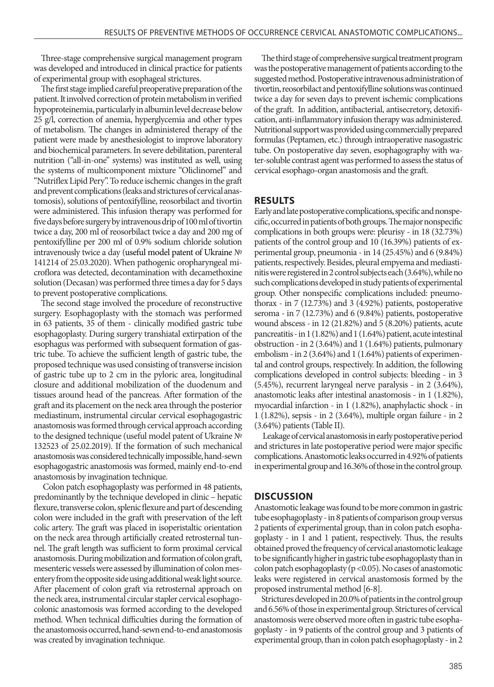Three-stage comprehensive surgical management program was developed and introduced in clinical practice for patients of experimental group with esophageal strictures.

The first stage implied careful preoperative preparation of the patient. It involved correction of protein metabolism in verified hypoproteinemia, particularly in albumin level decrease below 25 g/l, correction of anemia, hyperglycemia and other types of metabolism. The changes in administered therapy of the patient were made by anesthesiologist to improve laboratory and biochemical parameters. In severe debilitation, parenteral nutrition ("all-in-one" systems) was instituted as well, using the systems of multicomponent mixture "Oliclinomel" and "Nutriflex Lipid Pery". To reduce ischemic changes in the graft and prevent complications (leaks and strictures of cervical anastomosis), solutions of pentoxifylline, reosorbilact and tivortin were administered. This infusion therapy was performed for five days before surgery by intravenous drip of 100 ml of tivortin twice a day, 200 ml of reosorbilact twice a day and 200 mg of pentoxifylline per 200 ml of 0.9% sodium chloride solution intravenously twice a day (useful model patent of Ukraine № 141214 of 25.03.2020). When pathogenic oropharyngeal microflora was detected, decontamination with decamethoxine solution (Deсasan) was performed three times a day for 5 days to prevent postoperative complications.

The second stage involved the procedure of reconstructive surgery. Esophagoplasty with the stomach was performed in 63 patients, 35 of them - clinically modified gastric tube esophagoplasty. During surgery transhiatal extirpation of the esophagus was performed with subsequent formation of gastric tube. To achieve the sufficient length of gastric tube, the proposed technique was used consisting of transverse incision of gastric tube up to 2 cm in the pyloric area, longitudinal closure and additional mobilization of the duodenum and tissues around head of the pancreas. After formation of the graft and its placement on the neck area through the posterior mediastinum, instrumental circular cervical esophagogastric anastomosis was formed through cervical approach according to the designed technique (useful model patent of Ukraine № 132523 of 25.02.2019). If the formation of such mechanical anastomosis was considered technically impossible, hand-sewn esophagogastric anastomosis was formed, mainly end-to-end anastomosis by invagination technique.

 Colon patch esophagoplasty was performed in 48 patients, predominantly by the technique developed in clinic – hepatic flexure, transverse colon, splenic flexure and part of descending colon were included in the graft with preservation of the left colic artery. The graft was placed in isoperistaltic orientation on the neck area through artificially created retrosternal tunnel. The graft length was sufficient to form proximal cervical anastomosis. During mobilization and formation of colon graft, mesenteric vessels were assessed by illumination of colon mesentery from the opposite side using additional weak light source. After placement of colon graft via retrosternal approach on the neck area, instrumental circular stapler cervical esophagocolonic anastomosis was formed according to the developed method. When technical difficulties during the formation of the anastomosis occurred, hand-sewn end-to-end anastomosis was created by invagination technique.

The third stage of comprehensive surgical treatment program was the postoperative management of patients according to the suggested method. Postoperative intravenous administration of tivortin, reosorbilact and pentoxifylline solutions was continued twice a day for seven days to prevent ischemic complications of the graft. In addition, antibacterial, antisecretory, detoxification, anti-inflammatory infusion therapy was administered. Nutritional support was provided using commercially prepared formulas (Peptamen, etc.) through intraoperative nasogastric tube. On postoperative day seven, esophagography with water-soluble contrast agent was performed to assess the status of cervical esophago-organ anastomosis and the graft.

## **RESULTS**

Early and late postoperative complications, specific and nonspecific, occurred in patients of both groups. The major nonspecific complications in both groups were: pleurisy - in 18 (32.73%) patients of the control group and 10 (16.39%) patients of experimental group, pneumonia - in 14 (25.45%) and 6 (9.84%) patients, respectively. Besides, pleural empyema and mediastinitis were registered in 2 control subjects each (3.64%), while no such complications developed in study patients of experimental group. Other nonspecific complications included: pneumothorax - in 7 (12.73%) and 3 (4.92%) patients, postoperative seroma - in 7 (12.73%) and 6 (9.84%) patients, postoperative wound abscess - in 12 (21.82%) and 5 (8.20%) patients, acute pancreatitis - in 1 (1.82%) and 1 (1.64%) patient, acute intestinal obstruction - in 2 (3.64%) and 1 (1.64%) patients, pulmonary embolism - in 2 (3.64%) and 1 (1.64%) patients of experimental and control groups, respectively. In addition, the following complications developed in control subjects: bleeding - in 3 (5.45%), recurrent laryngeal nerve paralysis - in 2 (3.64%), anastomotic leaks after intestinal anastomosis - in 1 (1.82%), myocardial infarction - in 1 (1.82%), anaphylactic shock - in 1 (1.82%), sepsis - in 2 (3.64%), multiple organ failure - in 2 (3.64%) patients (Table ІІ).

 Leakage of cervical anastomosis in early postoperative period and strictures in late postoperative period were major specific complications. Anastomotic leaks occurred in 4.92% of patients in experimental group and 16.36% of those in the control group.

#### **DISCUSSION**

Anastomotic leakage was found to be more common in gastric tube esophagoplasty - in 8 patients of comparison group versus 2 patients of experimental group, than in colon patch esophagoplasty - in 1 and 1 patient, respectively. Thus, the results obtained proved the frequency of cervical anastomotic leakage to be significantly higher in gastric tube esophagoplasty than in colon patch esophagoplasty ( $p$  <0.05). No cases of anastomotic leaks were registered in cervical anastomosis formed by the proposed instrumental method [6-8].

Strictures developed in 20.0% of patients in the control group and 6.56% of those in experimental group. Strictures of cervical anastomosis were observed more often in gastric tube esophagoplasty - in 9 patients of the control group and 3 patients of experimental group, than in colon patch esophagoplasty - in 2